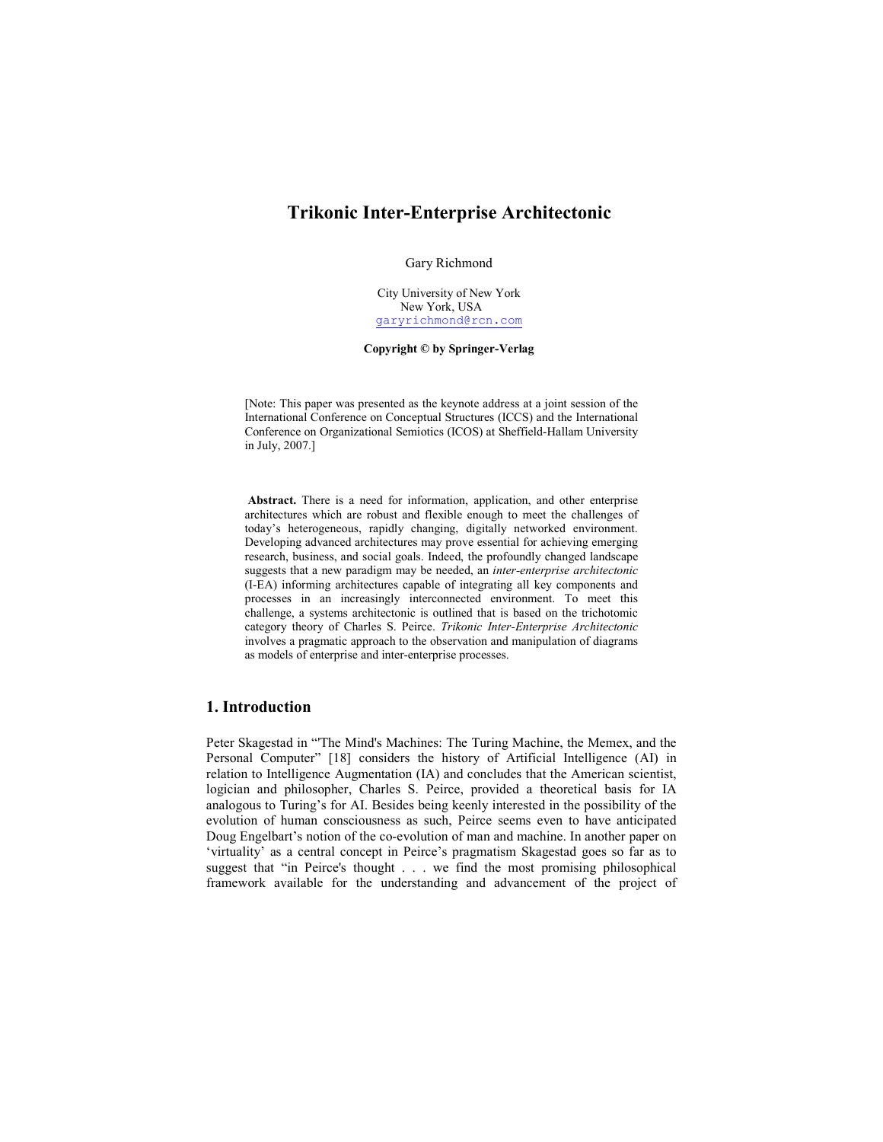# **Trikonic Inter-Enterprise Architectonic**

Gary Richmond

City University of New York New York, USA garyrichmond@rcn.com

**Copyright © by Springer-Verlag** 

[Note: This paper was presented as the keynote address at a joint session of the International Conference on Conceptual Structures (ICCS) and the International Conference on Organizational Semiotics (ICOS) at Sheffield-Hallam University in July, 2007.]

 **Abstract.** There is a need for information, application, and other enterprise architectures which are robust and flexible enough to meet the challenges of today's heterogeneous, rapidly changing, digitally networked environment. Developing advanced architectures may prove essential for achieving emerging research, business, and social goals. Indeed, the profoundly changed landscape suggests that a new paradigm may be needed, an *inter-enterprise architectonic* (I-EA) informing architectures capable of integrating all key components and processes in an increasingly interconnected environment. To meet this challenge, a systems architectonic is outlined that is based on the trichotomic category theory of Charles S. Peirce. *Trikonic Inter-Enterprise Architectonic* involves a pragmatic approach to the observation and manipulation of diagrams as models of enterprise and inter-enterprise processes.

# **1. Introduction**

Peter Skagestad in "'The Mind's Machines: The Turing Machine, the Memex, and the Personal Computer" [18] considers the history of Artificial Intelligence (AI) in relation to Intelligence Augmentation (IA) and concludes that the American scientist, logician and philosopher, Charles S. Peirce, provided a theoretical basis for IA analogous to Turing's for AI. Besides being keenly interested in the possibility of the evolution of human consciousness as such, Peirce seems even to have anticipated Doug Engelbart's notion of the co-evolution of man and machine. In another paper on 'virtuality' as a central concept in Peirce's pragmatism Skagestad goes so far as to suggest that "in Peirce's thought . . . we find the most promising philosophical framework available for the understanding and advancement of the project of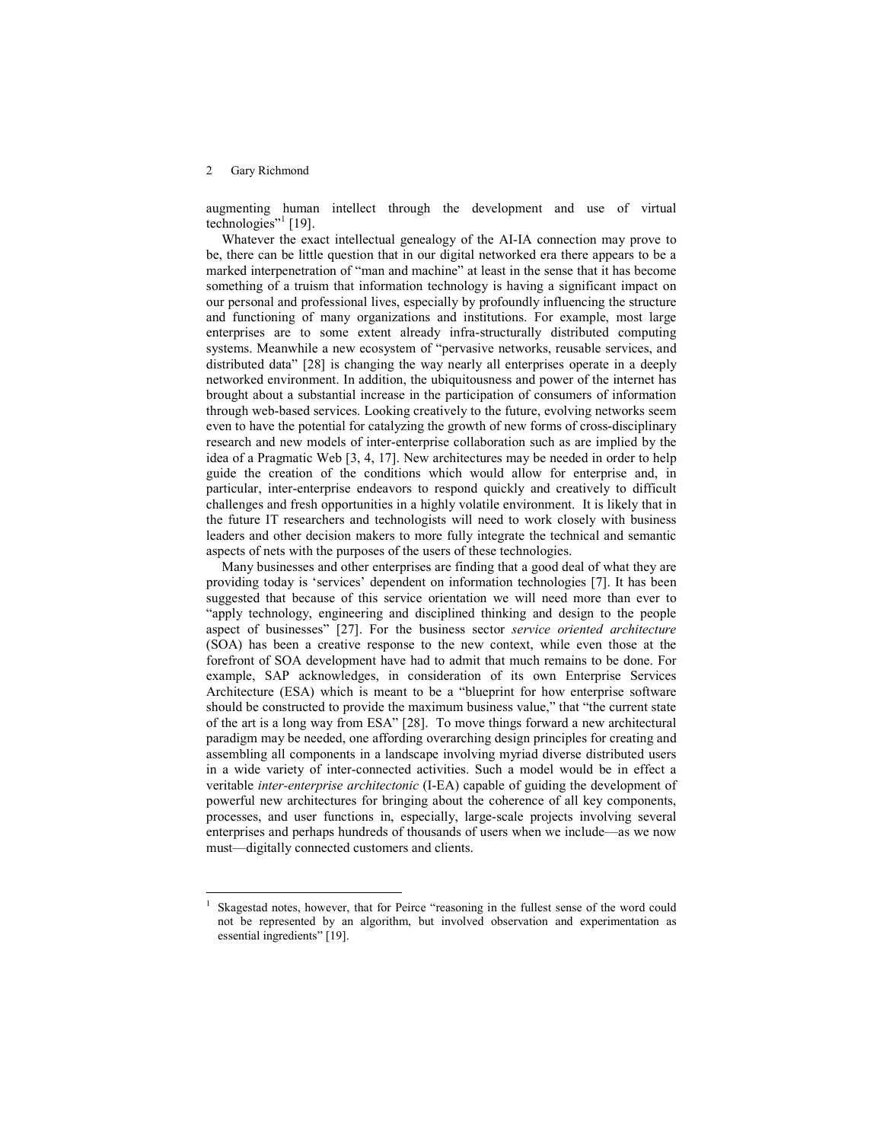$\overline{a}$ 

augmenting human intellect through the development and use of virtual technologies"<sup>1</sup> [19].

Whatever the exact intellectual genealogy of the AI-IA connection may prove to be, there can be little question that in our digital networked era there appears to be a marked interpenetration of "man and machine" at least in the sense that it has become something of a truism that information technology is having a significant impact on our personal and professional lives, especially by profoundly influencing the structure and functioning of many organizations and institutions. For example, most large enterprises are to some extent already infra-structurally distributed computing systems. Meanwhile a new ecosystem of "pervasive networks, reusable services, and distributed data" [28] is changing the way nearly all enterprises operate in a deeply networked environment. In addition, the ubiquitousness and power of the internet has brought about a substantial increase in the participation of consumers of information through web-based services. Looking creatively to the future, evolving networks seem even to have the potential for catalyzing the growth of new forms of cross-disciplinary research and new models of inter-enterprise collaboration such as are implied by the idea of a Pragmatic Web [3, 4, 17]. New architectures may be needed in order to help guide the creation of the conditions which would allow for enterprise and, in particular, inter-enterprise endeavors to respond quickly and creatively to difficult challenges and fresh opportunities in a highly volatile environment. It is likely that in the future IT researchers and technologists will need to work closely with business leaders and other decision makers to more fully integrate the technical and semantic aspects of nets with the purposes of the users of these technologies.

Many businesses and other enterprises are finding that a good deal of what they are providing today is 'services' dependent on information technologies [7]. It has been suggested that because of this service orientation we will need more than ever to "apply technology, engineering and disciplined thinking and design to the people aspect of businesses" [27]. For the business sector *service oriented architecture* (SOA) has been a creative response to the new context, while even those at the forefront of SOA development have had to admit that much remains to be done. For example, SAP acknowledges, in consideration of its own Enterprise Services Architecture (ESA) which is meant to be a "blueprint for how enterprise software should be constructed to provide the maximum business value," that "the current state of the art is a long way from ESA" [28]. To move things forward a new architectural paradigm may be needed, one affording overarching design principles for creating and assembling all components in a landscape involving myriad diverse distributed users in a wide variety of inter-connected activities. Such a model would be in effect a veritable *inter-enterprise architectonic* (I-EA) capable of guiding the development of powerful new architectures for bringing about the coherence of all key components, processes, and user functions in, especially, large-scale projects involving several enterprises and perhaps hundreds of thousands of users when we include—as we now must—digitally connected customers and clients.

<sup>1</sup> Skagestad notes, however, that for Peirce "reasoning in the fullest sense of the word could not be represented by an algorithm, but involved observation and experimentation as essential ingredients" [19].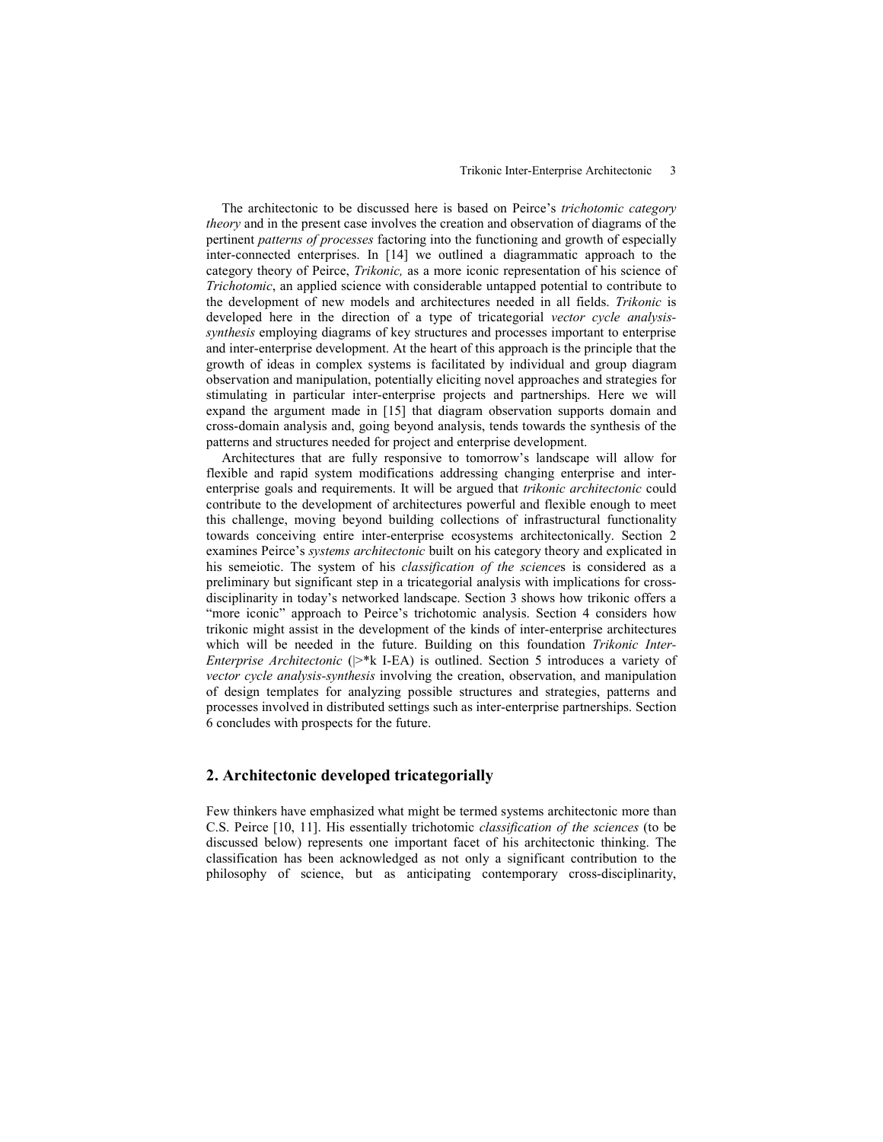#### Trikonic Inter-Enterprise Architectonic 3

The architectonic to be discussed here is based on Peirce's *trichotomic category theory* and in the present case involves the creation and observation of diagrams of the pertinent *patterns of processes* factoring into the functioning and growth of especially inter-connected enterprises. In [14] we outlined a diagrammatic approach to the category theory of Peirce, *Trikonic,* as a more iconic representation of his science of *Trichotomic*, an applied science with considerable untapped potential to contribute to the development of new models and architectures needed in all fields. *Trikonic* is developed here in the direction of a type of tricategorial *vector cycle analysissynthesis* employing diagrams of key structures and processes important to enterprise and inter-enterprise development. At the heart of this approach is the principle that the growth of ideas in complex systems is facilitated by individual and group diagram observation and manipulation, potentially eliciting novel approaches and strategies for stimulating in particular inter-enterprise projects and partnerships. Here we will expand the argument made in [15] that diagram observation supports domain and cross-domain analysis and, going beyond analysis, tends towards the synthesis of the patterns and structures needed for project and enterprise development.

Architectures that are fully responsive to tomorrow's landscape will allow for flexible and rapid system modifications addressing changing enterprise and interenterprise goals and requirements. It will be argued that *trikonic architectonic* could contribute to the development of architectures powerful and flexible enough to meet this challenge, moving beyond building collections of infrastructural functionality towards conceiving entire inter-enterprise ecosystems architectonically. Section 2 examines Peirce's *systems architectonic* built on his category theory and explicated in his semeiotic. The system of his *classification of the science*s is considered as a preliminary but significant step in a tricategorial analysis with implications for crossdisciplinarity in today's networked landscape. Section 3 shows how trikonic offers a "more iconic" approach to Peirce's trichotomic analysis. Section 4 considers how trikonic might assist in the development of the kinds of inter-enterprise architectures which will be needed in the future. Building on this foundation *Trikonic Inter-Enterprise Architectonic* ( $\triangleright$ \*k I-EA) is outlined. Section 5 introduces a variety of *vector cycle analysis-synthesis* involving the creation, observation, and manipulation of design templates for analyzing possible structures and strategies, patterns and processes involved in distributed settings such as inter-enterprise partnerships. Section 6 concludes with prospects for the future.

### **2. Architectonic developed tricategorially**

Few thinkers have emphasized what might be termed systems architectonic more than C.S. Peirce [10, 11]. His essentially trichotomic *classification of the sciences* (to be discussed below) represents one important facet of his architectonic thinking. The classification has been acknowledged as not only a significant contribution to the philosophy of science, but as anticipating contemporary cross-disciplinarity,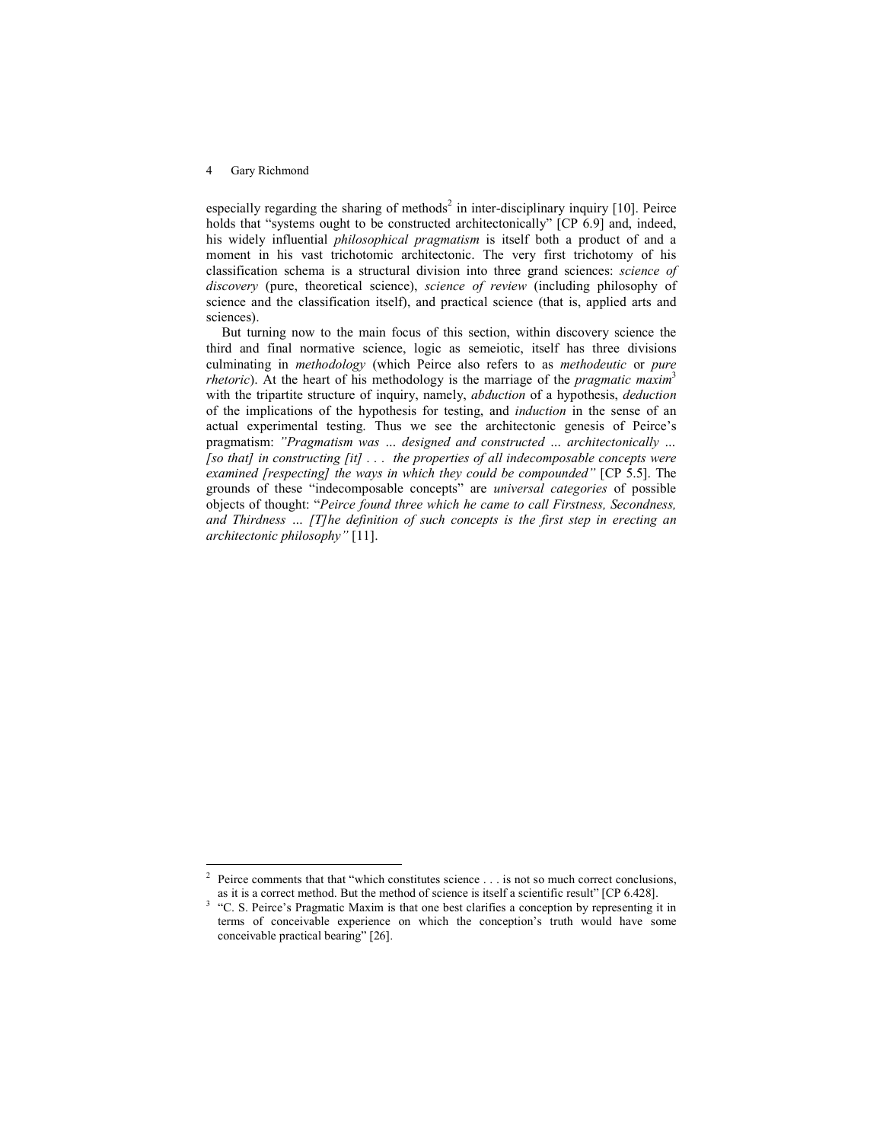$\overline{a}$ 

especially regarding the sharing of methods<sup>2</sup> in inter-disciplinary inquiry [10]. Peirce holds that "systems ought to be constructed architectonically" [CP 6.9] and, indeed, his widely influential *philosophical pragmatism* is itself both a product of and a moment in his vast trichotomic architectonic. The very first trichotomy of his classification schema is a structural division into three grand sciences: *science of discovery* (pure, theoretical science), *science of review* (including philosophy of science and the classification itself), and practical science (that is, applied arts and sciences).

But turning now to the main focus of this section, within discovery science the third and final normative science, logic as semeiotic, itself has three divisions culminating in *methodology* (which Peirce also refers to as *methodeutic* or *pure rhetoric*). At the heart of his methodology is the marriage of the *pragmatic maxim*<sup>3</sup> with the tripartite structure of inquiry, namely, *abduction* of a hypothesis, *deduction*  of the implications of the hypothesis for testing, and *induction* in the sense of an actual experimental testing. Thus we see the architectonic genesis of Peirce's pragmatism: *"Pragmatism was … designed and constructed … architectonically … [so that] in constructing [it] . . . the properties of all indecomposable concepts were examined [respecting] the ways in which they could be compounded"* [CP 5.5]. The grounds of these "indecomposable concepts" are *universal categories* of possible objects of thought: "*Peirce found three which he came to call Firstness, Secondness, and Thirdness … [T]he definition of such concepts is the first step in erecting an architectonic philosophy"* [11].

<sup>2</sup> Peirce comments that that "which constitutes science . . . is not so much correct conclusions, as it is a correct method. But the method of science is itself a scientific result" [CP 6.428].

<sup>&</sup>lt;sup>3</sup> "C. S. Peirce's Pragmatic Maxim is that one best clarifies a conception by representing it in terms of conceivable experience on which the conception's truth would have some conceivable practical bearing" [26].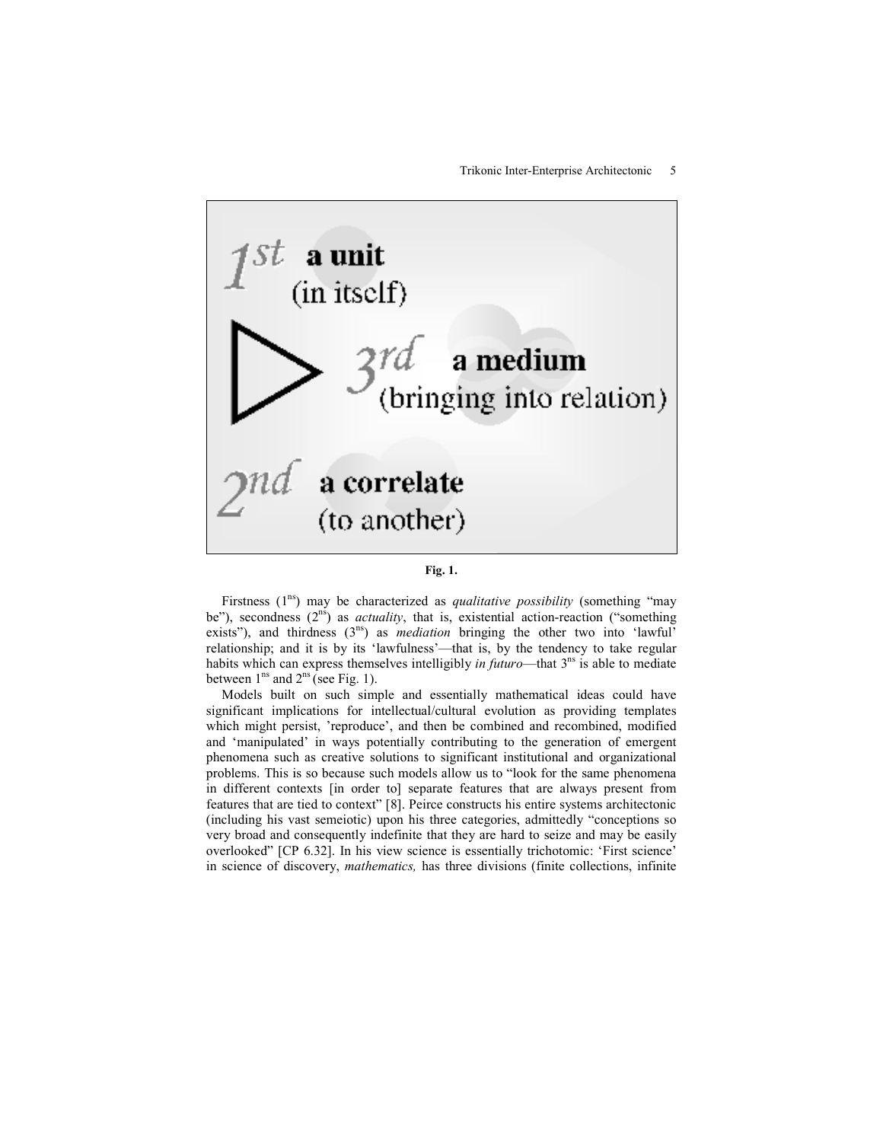

**Fig. 1.**

Firstness (1<sup>ns</sup>) may be characterized as *qualitative possibility* (something "may be"), secondness (2<sup>ns</sup>) as *actuality*, that is, existential action-reaction ("something exists"), and thirdness  $(3^{ns})$  as *mediation* bringing the other two into 'lawful' relationship; and it is by its 'lawfulness'—that is, by the tendency to take regular habits which can express themselves intelligibly *in futuro*—that 3<sup>ns</sup> is able to mediate between  $1^{ns}$  and  $2^{ns}$  (see Fig. 1).

Models built on such simple and essentially mathematical ideas could have significant implications for intellectual/cultural evolution as providing templates which might persist, 'reproduce', and then be combined and recombined, modified and 'manipulated' in ways potentially contributing to the generation of emergent phenomena such as creative solutions to significant institutional and organizational problems. This is so because such models allow us to "look for the same phenomena in different contexts [in order to] separate features that are always present from features that are tied to context" [8]. Peirce constructs his entire systems architectonic (including his vast semeiotic) upon his three categories, admittedly "conceptions so very broad and consequently indefinite that they are hard to seize and may be easily overlooked" [CP 6.32]. In his view science is essentially trichotomic: 'First science' in science of discovery, *mathematics,* has three divisions (finite collections, infinite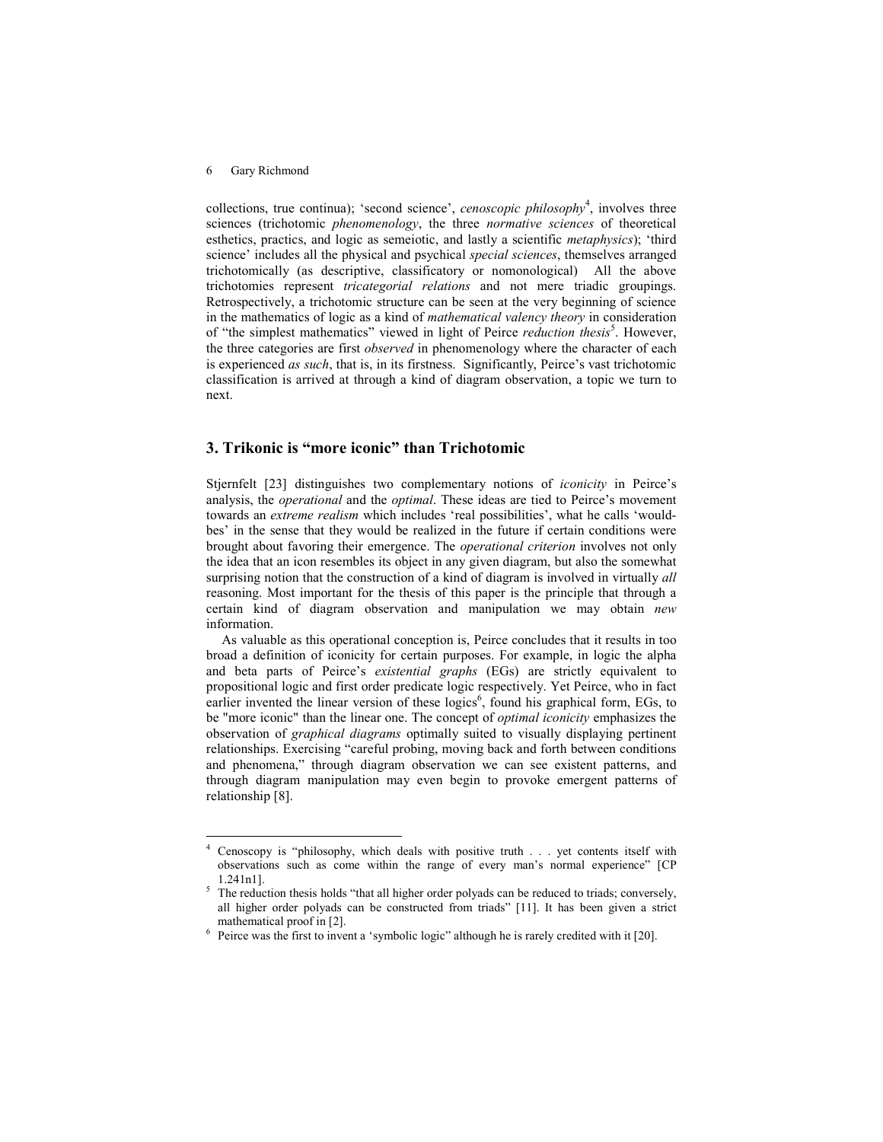$\overline{a}$ 

collections, true continua); 'second science', *cenoscopic philosophy*<sup>4</sup> , involves three sciences (trichotomic *phenomenology*, the three *normative sciences* of theoretical esthetics, practics, and logic as semeiotic, and lastly a scientific *metaphysics*); 'third science' includes all the physical and psychical *special sciences*, themselves arranged trichotomically (as descriptive, classificatory or nomonological) All the above trichotomies represent *tricategorial relations* and not mere triadic groupings. Retrospectively, a trichotomic structure can be seen at the very beginning of science in the mathematics of logic as a kind of *mathematical valency theory* in consideration of "the simplest mathematics" viewed in light of Peirce *reduction thesis*<sup>5</sup>. However, the three categories are first *observed* in phenomenology where the character of each is experienced *as such*, that is, in its firstness. Significantly, Peirce's vast trichotomic classification is arrived at through a kind of diagram observation, a topic we turn to next.

### **3. Trikonic is "more iconic" than Trichotomic**

Stjernfelt [23] distinguishes two complementary notions of *iconicity* in Peirce's analysis, the *operational* and the *optimal*. These ideas are tied to Peirce's movement towards an *extreme realism* which includes 'real possibilities', what he calls 'wouldbes' in the sense that they would be realized in the future if certain conditions were brought about favoring their emergence. The *operational criterion* involves not only the idea that an icon resembles its object in any given diagram, but also the somewhat surprising notion that the construction of a kind of diagram is involved in virtually *all*  reasoning. Most important for the thesis of this paper is the principle that through a certain kind of diagram observation and manipulation we may obtain *new* information.

As valuable as this operational conception is, Peirce concludes that it results in too broad a definition of iconicity for certain purposes. For example, in logic the alpha and beta parts of Peirce's *existential graphs* (EGs) are strictly equivalent to propositional logic and first order predicate logic respectively. Yet Peirce, who in fact earlier invented the linear version of these logics<sup>6</sup>, found his graphical form, EGs, to be "more iconic" than the linear one. The concept of *optimal iconicity* emphasizes the observation of *graphical diagrams* optimally suited to visually displaying pertinent relationships. Exercising "careful probing, moving back and forth between conditions and phenomena," through diagram observation we can see existent patterns, and through diagram manipulation may even begin to provoke emergent patterns of relationship [8].

<sup>4</sup> Cenoscopy is "philosophy, which deals with positive truth . . . yet contents itself with observations such as come within the range of every man's normal experience" [CP 1.241n1].

<sup>5</sup> The reduction thesis holds "that all higher order polyads can be reduced to triads; conversely, all higher order polyads can be constructed from triads" [11]. It has been given a strict mathematical proof in [2].

<sup>&</sup>lt;sup>6</sup> Peirce was the first to invent a 'symbolic logic" although he is rarely credited with it [20].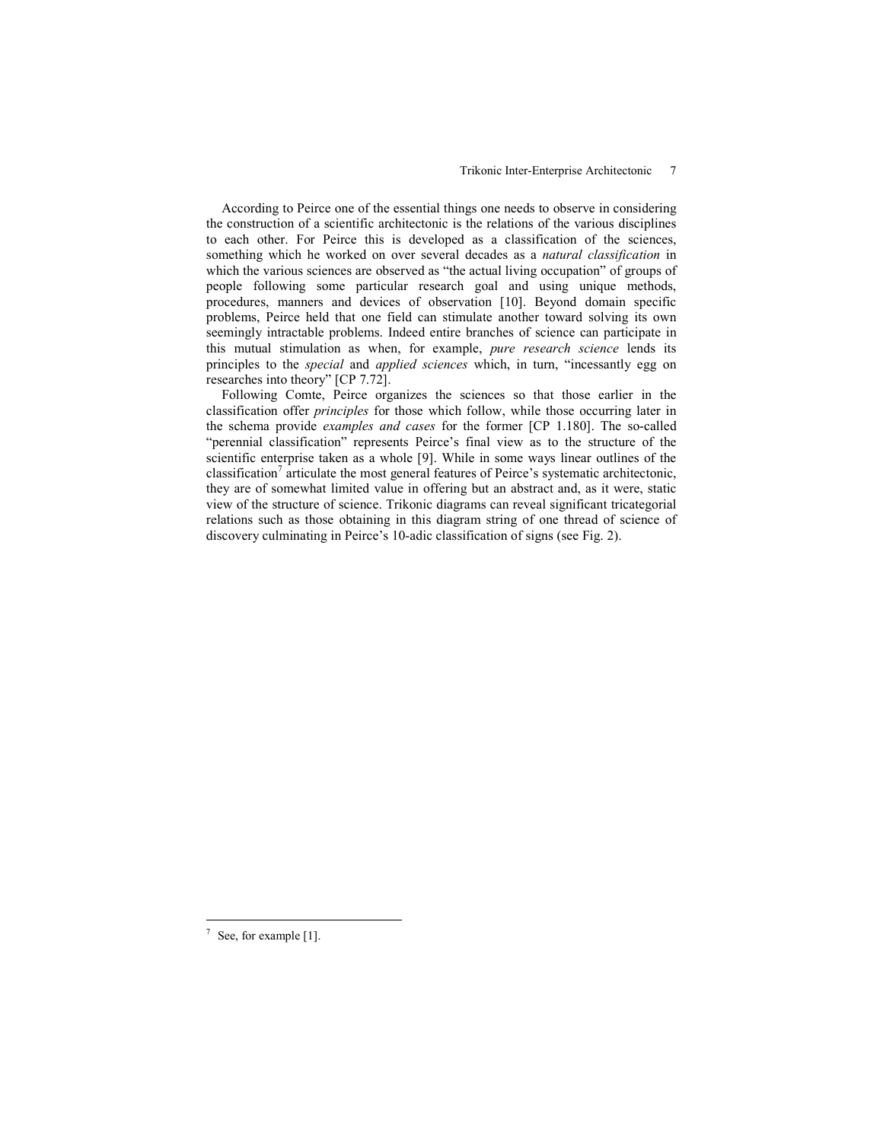According to Peirce one of the essential things one needs to observe in considering the construction of a scientific architectonic is the relations of the various disciplines to each other. For Peirce this is developed as a classification of the sciences, something which he worked on over several decades as a *natural classification* in which the various sciences are observed as "the actual living occupation" of groups of people following some particular research goal and using unique methods, procedures, manners and devices of observation [10]. Beyond domain specific problems, Peirce held that one field can stimulate another toward solving its own seemingly intractable problems. Indeed entire branches of science can participate in this mutual stimulation as when, for example, *pure research science* lends its principles to the *special* and *applied sciences* which, in turn, "incessantly egg on researches into theory" [CP 7.72].

Following Comte, Peirce organizes the sciences so that those earlier in the classification offer *principles* for those which follow, while those occurring later in the schema provide *examples and cases* for the former [CP 1.180]. The so-called "perennial classification" represents Peirce's final view as to the structure of the scientific enterprise taken as a whole [9]. While in some ways linear outlines of the classification<sup>7</sup> articulate the most general features of Peirce's systematic architectonic, they are of somewhat limited value in offering but an abstract and, as it were, static view of the structure of science. Trikonic diagrams can reveal significant tricategorial relations such as those obtaining in this diagram string of one thread of science of discovery culminating in Peirce's 10-adic classification of signs (see Fig. 2).

 $\frac{7}{7}$  See, for example [1].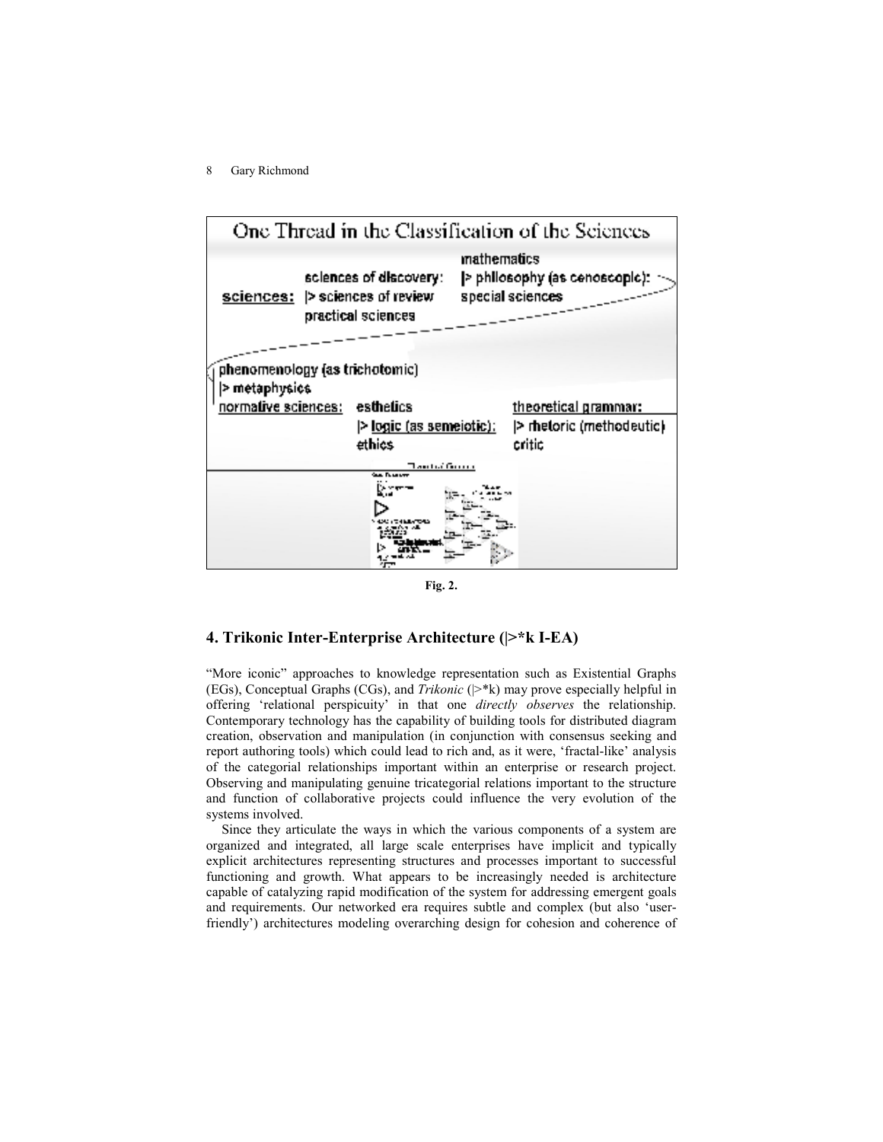

**Fig. 2.**

# **4. Trikonic Inter-Enterprise Architecture (|>\*k I-EA)**

"More iconic" approaches to knowledge representation such as Existential Graphs (EGs), Conceptual Graphs (CGs), and *Trikonic* (|>\*k) may prove especially helpful in offering 'relational perspicuity' in that one *directly observes* the relationship. Contemporary technology has the capability of building tools for distributed diagram creation, observation and manipulation (in conjunction with consensus seeking and report authoring tools) which could lead to rich and, as it were, 'fractal-like' analysis of the categorial relationships important within an enterprise or research project. Observing and manipulating genuine tricategorial relations important to the structure and function of collaborative projects could influence the very evolution of the systems involved.

Since they articulate the ways in which the various components of a system are organized and integrated, all large scale enterprises have implicit and typically explicit architectures representing structures and processes important to successful functioning and growth. What appears to be increasingly needed is architecture capable of catalyzing rapid modification of the system for addressing emergent goals and requirements. Our networked era requires subtle and complex (but also 'userfriendly') architectures modeling overarching design for cohesion and coherence of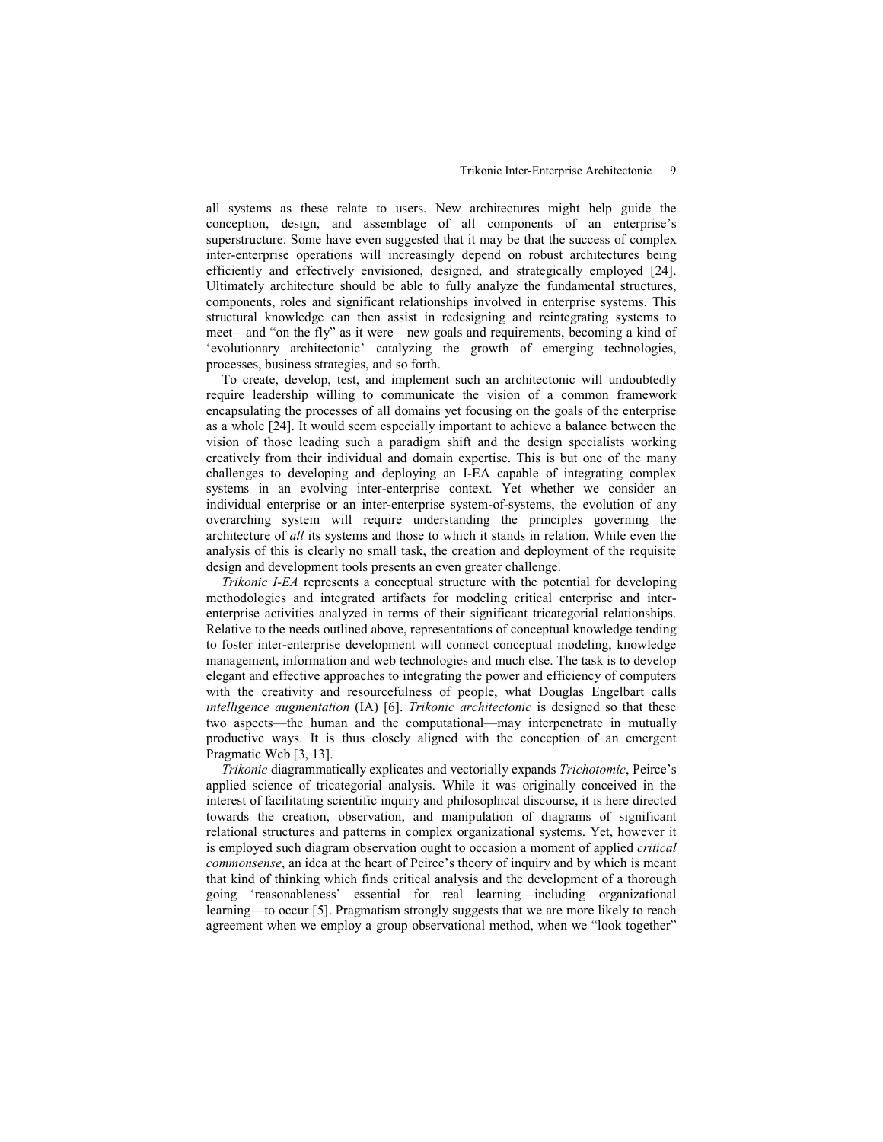all systems as these relate to users. New architectures might help guide the conception, design, and assemblage of all components of an enterprise's superstructure. Some have even suggested that it may be that the success of complex inter-enterprise operations will increasingly depend on robust architectures being efficiently and effectively envisioned, designed, and strategically employed [24]. Ultimately architecture should be able to fully analyze the fundamental structures, components, roles and significant relationships involved in enterprise systems. This structural knowledge can then assist in redesigning and reintegrating systems to meet—and "on the fly" as it were—new goals and requirements, becoming a kind of 'evolutionary architectonic' catalyzing the growth of emerging technologies, processes, business strategies, and so forth.

To create, develop, test, and implement such an architectonic will undoubtedly require leadership willing to communicate the vision of a common framework encapsulating the processes of all domains yet focusing on the goals of the enterprise as a whole [24]. It would seem especially important to achieve a balance between the vision of those leading such a paradigm shift and the design specialists working creatively from their individual and domain expertise. This is but one of the many challenges to developing and deploying an I-EA capable of integrating complex systems in an evolving inter-enterprise context. Yet whether we consider an individual enterprise or an inter-enterprise system-of-systems, the evolution of any overarching system will require understanding the principles governing the architecture of *all* its systems and those to which it stands in relation. While even the analysis of this is clearly no small task, the creation and deployment of the requisite design and development tools presents an even greater challenge.

*Trikonic I-EA* represents a conceptual structure with the potential for developing methodologies and integrated artifacts for modeling critical enterprise and interenterprise activities analyzed in terms of their significant tricategorial relationships. Relative to the needs outlined above, representations of conceptual knowledge tending to foster inter-enterprise development will connect conceptual modeling, knowledge management, information and web technologies and much else. The task is to develop elegant and effective approaches to integrating the power and efficiency of computers with the creativity and resourcefulness of people, what Douglas Engelbart calls *intelligence augmentation* (IA) [6]. *Trikonic architectonic* is designed so that these two aspects—the human and the computational—may interpenetrate in mutually productive ways. It is thus closely aligned with the conception of an emergent Pragmatic Web [3, 13].

*Trikonic* diagrammatically explicates and vectorially expands *Trichotomic*, Peirce's applied science of tricategorial analysis. While it was originally conceived in the interest of facilitating scientific inquiry and philosophical discourse, it is here directed towards the creation, observation, and manipulation of diagrams of significant relational structures and patterns in complex organizational systems. Yet, however it is employed such diagram observation ought to occasion a moment of applied *critical commonsense*, an idea at the heart of Peirce's theory of inquiry and by which is meant that kind of thinking which finds critical analysis and the development of a thorough going 'reasonableness' essential for real learning—including organizational learning—to occur [5]. Pragmatism strongly suggests that we are more likely to reach agreement when we employ a group observational method, when we "look together"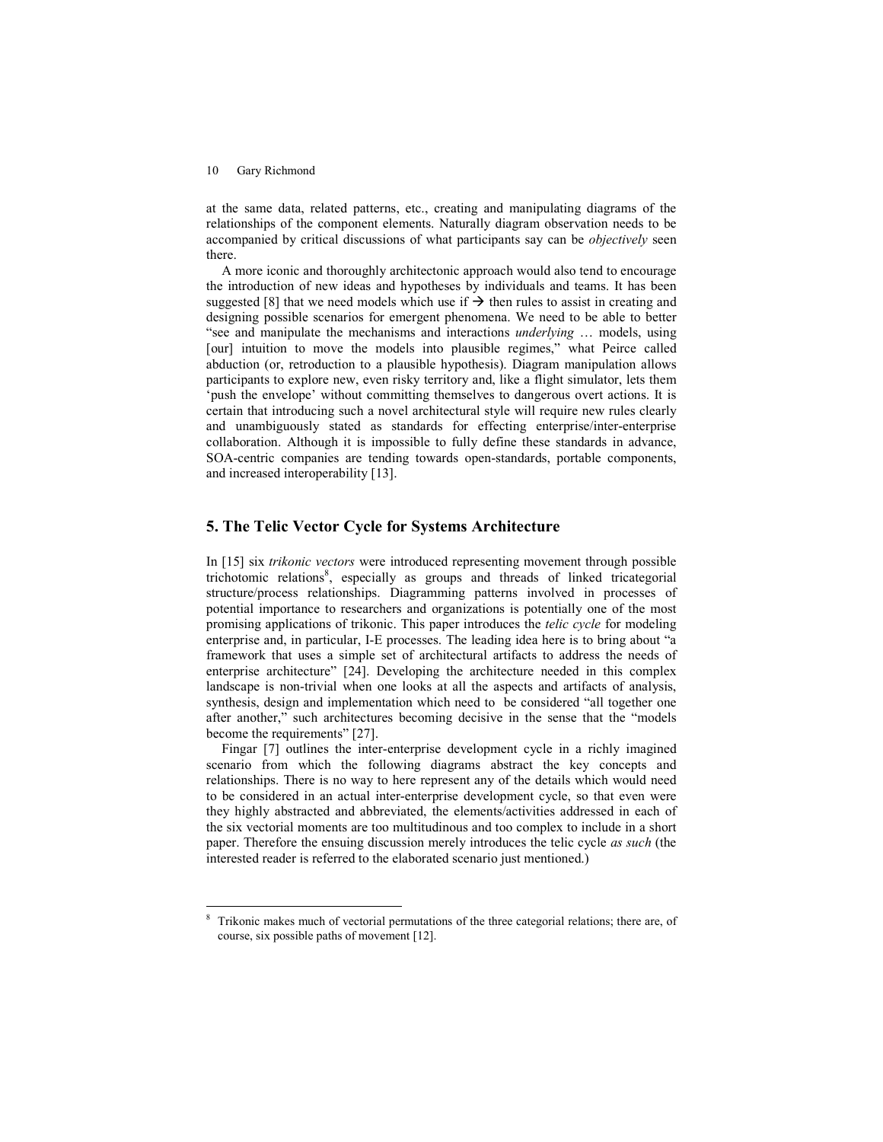at the same data, related patterns, etc., creating and manipulating diagrams of the relationships of the component elements. Naturally diagram observation needs to be accompanied by critical discussions of what participants say can be *objectively* seen there.

A more iconic and thoroughly architectonic approach would also tend to encourage the introduction of new ideas and hypotheses by individuals and teams. It has been suggested [8] that we need models which use if  $\rightarrow$  then rules to assist in creating and designing possible scenarios for emergent phenomena. We need to be able to better "see and manipulate the mechanisms and interactions *underlying* … models, using [our] intuition to move the models into plausible regimes," what Peirce called abduction (or, retroduction to a plausible hypothesis). Diagram manipulation allows participants to explore new, even risky territory and, like a flight simulator, lets them 'push the envelope' without committing themselves to dangerous overt actions. It is certain that introducing such a novel architectural style will require new rules clearly and unambiguously stated as standards for effecting enterprise/inter-enterprise collaboration. Although it is impossible to fully define these standards in advance, SOA-centric companies are tending towards open-standards, portable components, and increased interoperability [13].

### **5. The Telic Vector Cycle for Systems Architecture**

In [15] six *trikonic vectors* were introduced representing movement through possible trichotomic relations<sup>8</sup>, especially as groups and threads of linked tricategorial structure/process relationships. Diagramming patterns involved in processes of potential importance to researchers and organizations is potentially one of the most promising applications of trikonic. This paper introduces the *telic cycle* for modeling enterprise and, in particular, I-E processes. The leading idea here is to bring about "a framework that uses a simple set of architectural artifacts to address the needs of enterprise architecture" [24]. Developing the architecture needed in this complex landscape is non-trivial when one looks at all the aspects and artifacts of analysis, synthesis, design and implementation which need to be considered "all together one after another," such architectures becoming decisive in the sense that the "models become the requirements" [27].

Fingar [7] outlines the inter-enterprise development cycle in a richly imagined scenario from which the following diagrams abstract the key concepts and relationships. There is no way to here represent any of the details which would need to be considered in an actual inter-enterprise development cycle, so that even were they highly abstracted and abbreviated, the elements/activities addressed in each of the six vectorial moments are too multitudinous and too complex to include in a short paper. Therefore the ensuing discussion merely introduces the telic cycle *as such* (the interested reader is referred to the elaborated scenario just mentioned.)

 $\frac{1}{8}$  Trikonic makes much of vectorial permutations of the three categorial relations; there are, of course, six possible paths of movement [12].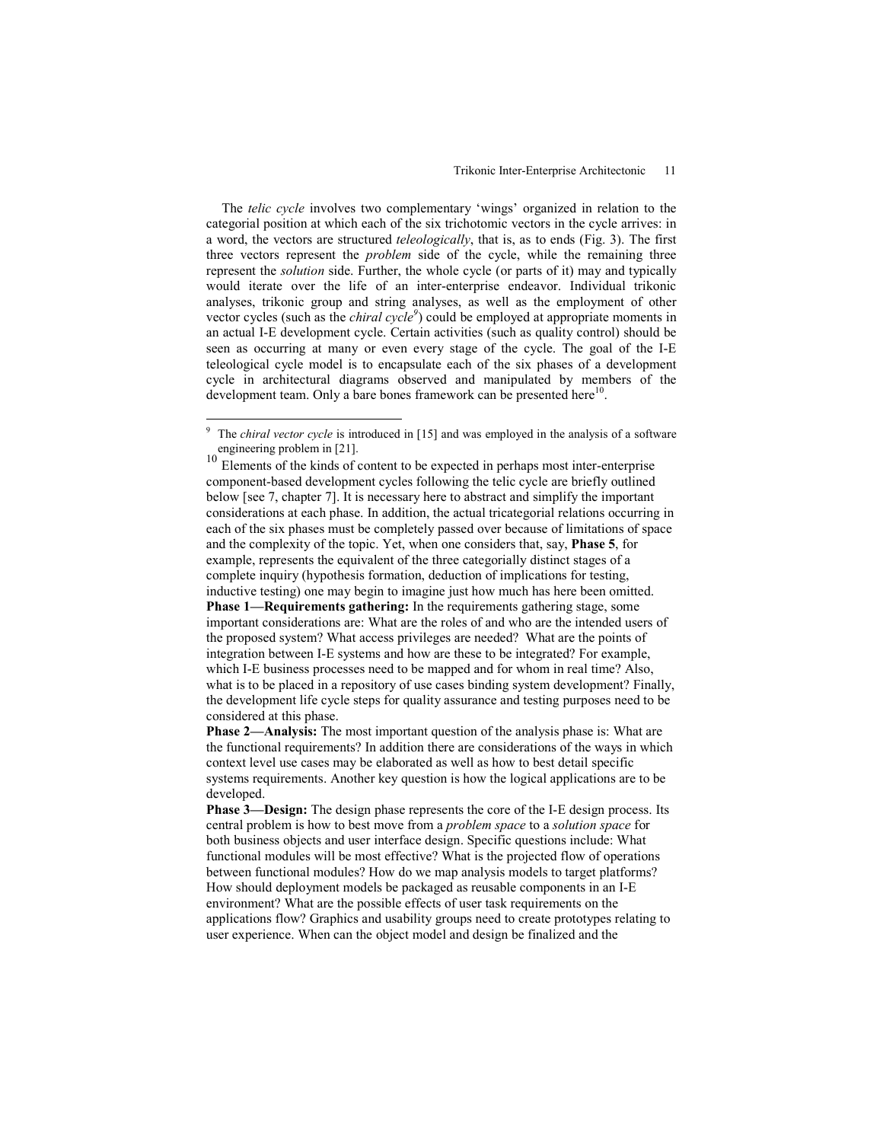The *telic cycle* involves two complementary 'wings' organized in relation to the categorial position at which each of the six trichotomic vectors in the cycle arrives: in a word, the vectors are structured *teleologically*, that is, as to ends (Fig. 3). The first three vectors represent the *problem* side of the cycle, while the remaining three represent the *solution* side. Further, the whole cycle (or parts of it) may and typically would iterate over the life of an inter-enterprise endeavor. Individual trikonic analyses, trikonic group and string analyses, as well as the employment of other vector cycles (such as the *chiral cycle<sup>9</sup>* ) could be employed at appropriate moments in an actual I-E development cycle. Certain activities (such as quality control) should be seen as occurring at many or even every stage of the cycle. The goal of the I-E teleological cycle model is to encapsulate each of the six phases of a development cycle in architectural diagrams observed and manipulated by members of the development team. Only a bare bones framework can be presented here<sup>10</sup>.

10 Elements of the kinds of content to be expected in perhaps most inter-enterprise component-based development cycles following the telic cycle are briefly outlined below [see 7, chapter 7]. It is necessary here to abstract and simplify the important considerations at each phase. In addition, the actual tricategorial relations occurring in each of the six phases must be completely passed over because of limitations of space and the complexity of the topic. Yet, when one considers that, say, **Phase 5**, for example, represents the equivalent of the three categorially distinct stages of a complete inquiry (hypothesis formation, deduction of implications for testing, inductive testing) one may begin to imagine just how much has here been omitted. **Phase 1—Requirements gathering:** In the requirements gathering stage, some important considerations are: What are the roles of and who are the intended users of the proposed system? What access privileges are needed? What are the points of integration between I-E systems and how are these to be integrated? For example, which I-E business processes need to be mapped and for whom in real time? Also, what is to be placed in a repository of use cases binding system development? Finally, the development life cycle steps for quality assurance and testing purposes need to be considered at this phase.

**Phase 2—Analysis:** The most important question of the analysis phase is: What are the functional requirements? In addition there are considerations of the ways in which context level use cases may be elaborated as well as how to best detail specific systems requirements. Another key question is how the logical applications are to be developed.

**Phase 3—Design:** The design phase represents the core of the I-E design process. Its central problem is how to best move from a *problem space* to a *solution space* for both business objects and user interface design. Specific questions include: What functional modules will be most effective? What is the projected flow of operations between functional modules? How do we map analysis models to target platforms? How should deployment models be packaged as reusable components in an I-E environment? What are the possible effects of user task requirements on the applications flow? Graphics and usability groups need to create prototypes relating to user experience. When can the object model and design be finalized and the

<sup>&</sup>lt;sup>9</sup> The *chiral vector cycle* is introduced in [15] and was employed in the analysis of a software engineering problem in [21].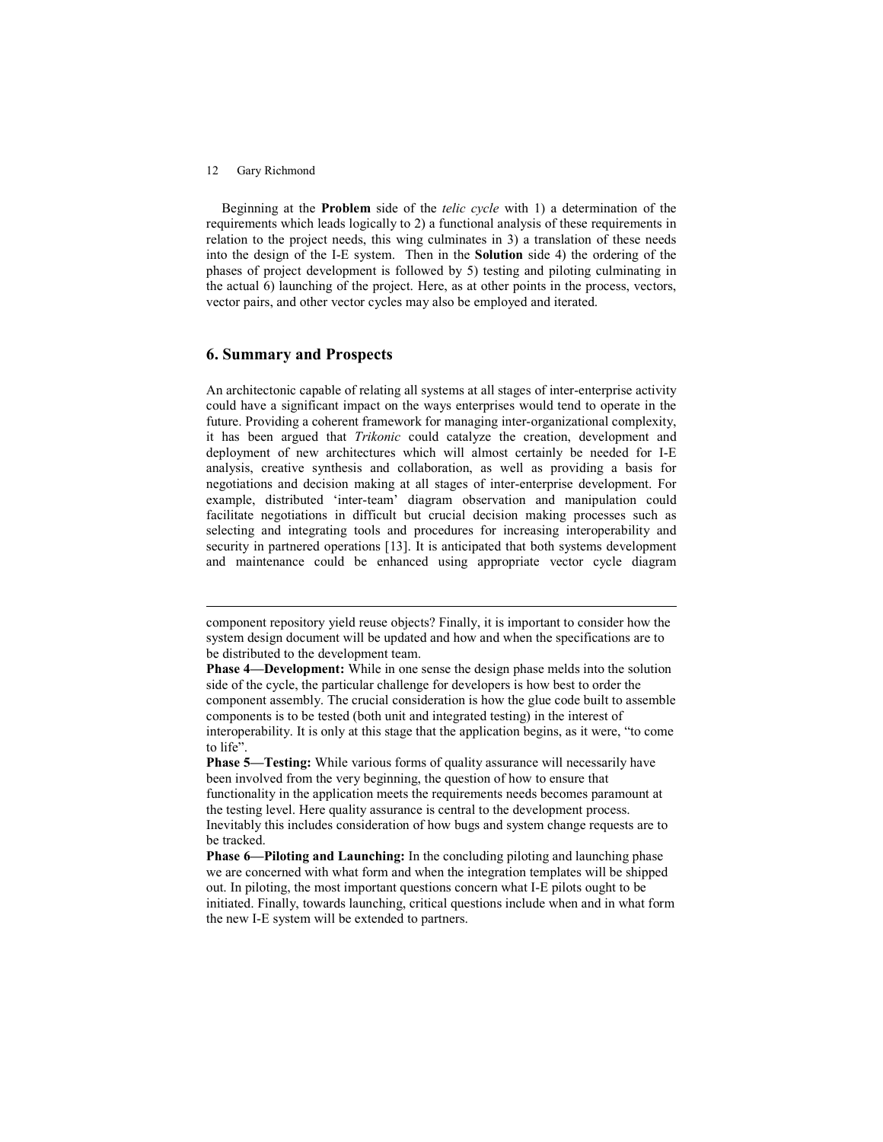Beginning at the **Problem** side of the *telic cycle* with 1) a determination of the requirements which leads logically to 2) a functional analysis of these requirements in relation to the project needs, this wing culminates in 3) a translation of these needs into the design of the I-E system. Then in the **Solution** side 4) the ordering of the phases of project development is followed by 5) testing and piloting culminating in the actual 6) launching of the project. Here, as at other points in the process, vectors, vector pairs, and other vector cycles may also be employed and iterated.

### **6. Summary and Prospects**

 $\overline{a}$ 

An architectonic capable of relating all systems at all stages of inter-enterprise activity could have a significant impact on the ways enterprises would tend to operate in the future. Providing a coherent framework for managing inter-organizational complexity, it has been argued that *Trikonic* could catalyze the creation, development and deployment of new architectures which will almost certainly be needed for I-E analysis, creative synthesis and collaboration, as well as providing a basis for negotiations and decision making at all stages of inter-enterprise development. For example, distributed 'inter-team' diagram observation and manipulation could facilitate negotiations in difficult but crucial decision making processes such as selecting and integrating tools and procedures for increasing interoperability and security in partnered operations [13]. It is anticipated that both systems development and maintenance could be enhanced using appropriate vector cycle diagram

**Phase 5—Testing:** While various forms of quality assurance will necessarily have been involved from the very beginning, the question of how to ensure that functionality in the application meets the requirements needs becomes paramount at the testing level. Here quality assurance is central to the development process. Inevitably this includes consideration of how bugs and system change requests are to be tracked.

**Phase 6—Piloting and Launching:** In the concluding piloting and launching phase we are concerned with what form and when the integration templates will be shipped out. In piloting, the most important questions concern what I-E pilots ought to be initiated. Finally, towards launching, critical questions include when and in what form the new I-E system will be extended to partners.

component repository yield reuse objects? Finally, it is important to consider how the system design document will be updated and how and when the specifications are to be distributed to the development team.

**Phase 4—Development:** While in one sense the design phase melds into the solution side of the cycle, the particular challenge for developers is how best to order the component assembly. The crucial consideration is how the glue code built to assemble components is to be tested (both unit and integrated testing) in the interest of interoperability. It is only at this stage that the application begins, as it were, "to come to life".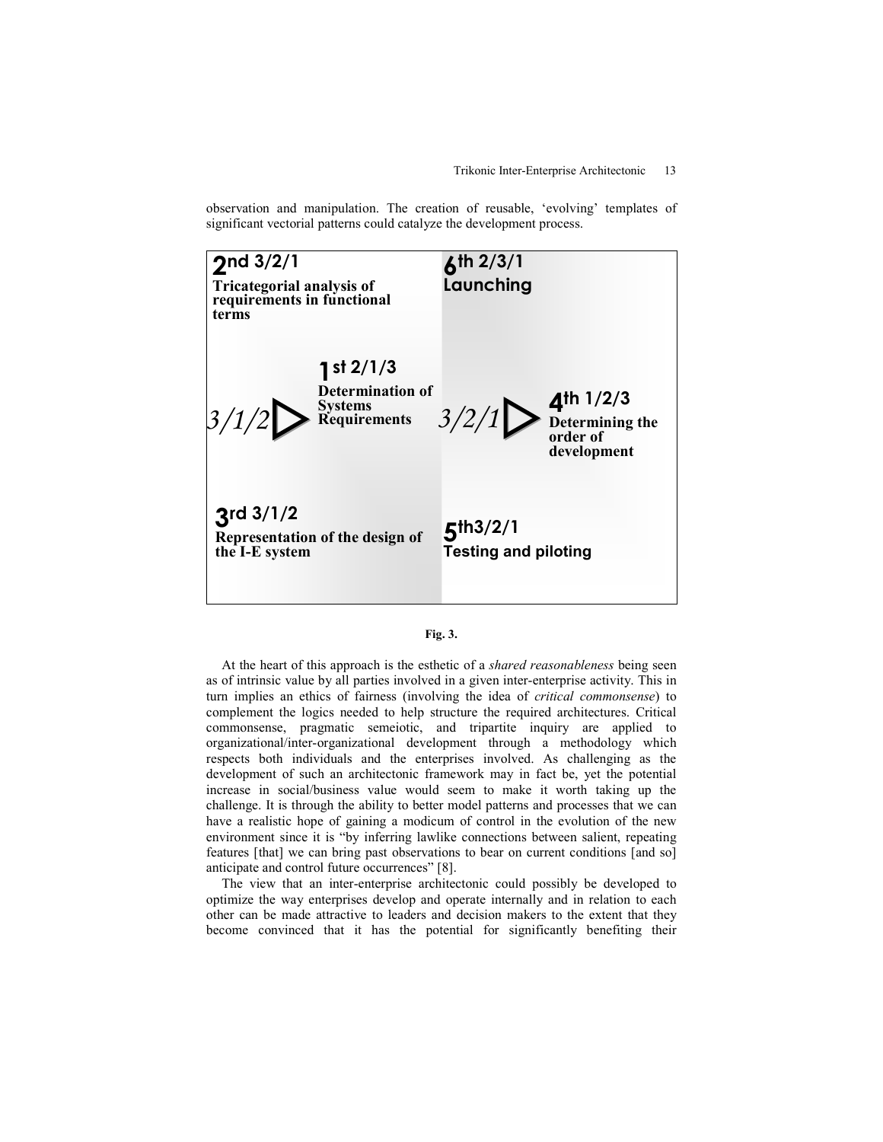observation and manipulation. The creation of reusable, 'evolving' templates of significant vectorial patterns could catalyze the development process.





At the heart of this approach is the esthetic of a *shared reasonableness* being seen as of intrinsic value by all parties involved in a given inter-enterprise activity. This in turn implies an ethics of fairness (involving the idea of *critical commonsense*) to complement the logics needed to help structure the required architectures. Critical commonsense, pragmatic semeiotic, and tripartite inquiry are applied to organizational/inter-organizational development through a methodology which respects both individuals and the enterprises involved. As challenging as the development of such an architectonic framework may in fact be, yet the potential increase in social/business value would seem to make it worth taking up the challenge. It is through the ability to better model patterns and processes that we can have a realistic hope of gaining a modicum of control in the evolution of the new environment since it is "by inferring lawlike connections between salient, repeating features [that] we can bring past observations to bear on current conditions [and so] anticipate and control future occurrences" [8].

The view that an inter-enterprise architectonic could possibly be developed to optimize the way enterprises develop and operate internally and in relation to each other can be made attractive to leaders and decision makers to the extent that they become convinced that it has the potential for significantly benefiting their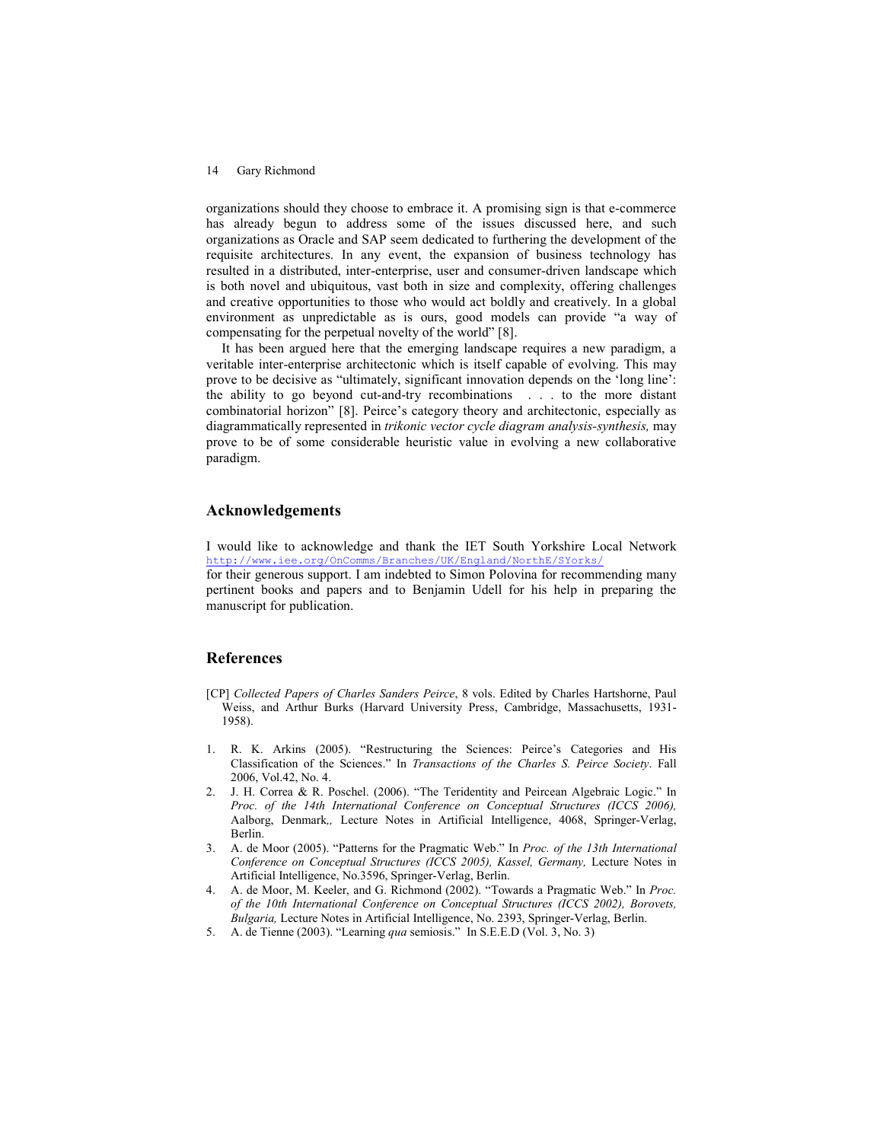organizations should they choose to embrace it. A promising sign is that e-commerce has already begun to address some of the issues discussed here, and such organizations as Oracle and SAP seem dedicated to furthering the development of the requisite architectures. In any event, the expansion of business technology has resulted in a distributed, inter-enterprise, user and consumer-driven landscape which is both novel and ubiquitous, vast both in size and complexity, offering challenges and creative opportunities to those who would act boldly and creatively. In a global environment as unpredictable as is ours, good models can provide "a way of compensating for the perpetual novelty of the world" [8].

It has been argued here that the emerging landscape requires a new paradigm, a veritable inter-enterprise architectonic which is itself capable of evolving. This may prove to be decisive as "ultimately, significant innovation depends on the 'long line': the ability to go beyond cut-and-try recombinations . . . to the more distant combinatorial horizon" [8]. Peirce's category theory and architectonic, especially as diagrammatically represented in *trikonic vector cycle diagram analysis-synthesis,* may prove to be of some considerable heuristic value in evolving a new collaborative paradigm.

## **Acknowledgements**

I would like to acknowledge and thank the IET South Yorkshire Local Network http://www.iee.org/OnComms/Branches/UK/England/NorthE/SYorks/ for their generous support. I am indebted to Simon Polovina for recommending many

pertinent books and papers and to Benjamin Udell for his help in preparing the manuscript for publication.

# **References**

- [CP] *Collected Papers of Charles Sanders Peirce*, 8 vols. Edited by Charles Hartshorne, Paul Weiss, and Arthur Burks (Harvard University Press, Cambridge, Massachusetts, 1931- 1958).
- 1. R. K. Arkins (2005). "Restructuring the Sciences: Peirce's Categories and His Classification of the Sciences." In *Transactions of the Charles S. Peirce Society*. Fall 2006, Vol.42, No. 4.
- 2. J. H. Correa & R. Poschel. (2006). "The Teridentity and Peircean Algebraic Logic." In Proc. of the 14th International Conference on Conceptual Structures (ICCS 2006), Aalborg, Denmark*,,* Lecture Notes in Artificial Intelligence, 4068, Springer-Verlag, Berlin.
- 3. A. de Moor (2005). "Patterns for the Pragmatic Web." In *Proc. of the 13th International*  Conference on Conceptual Structures (ICCS 2005), Kassel, Germany, Lecture Notes in Artificial Intelligence, No.3596, Springer-Verlag, Berlin.
- 4. A. de Moor, M. Keeler, and G. Richmond (2002). "Towards a Pragmatic Web." In *Proc. of the 10th International Conference on Conceptual Structures (ICCS 2002), Borovets, Bulgaria,* Lecture Notes in Artificial Intelligence, No. 2393, Springer-Verlag, Berlin.
- 5. A. de Tienne (2003). "Learning *qua* semiosis." In S.E.E.D (Vol. 3, No. 3)